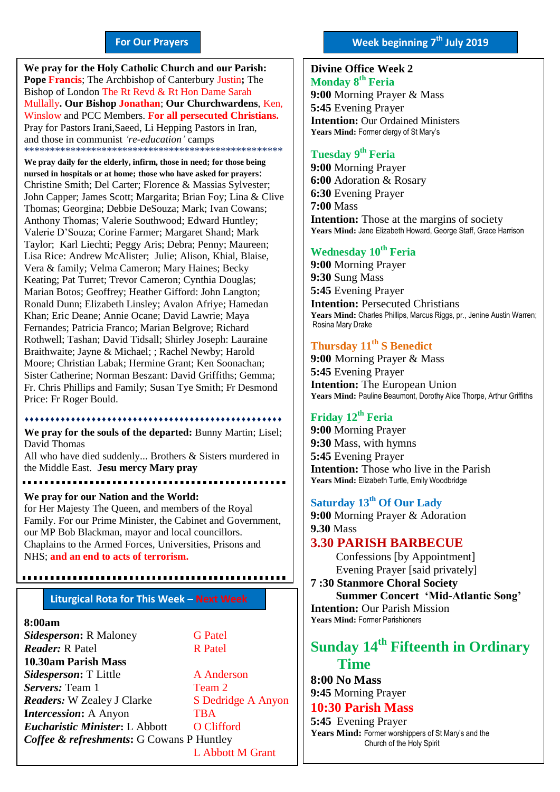#### **For Our Prayers**

arted Mullally**. Our Bishop Jonathan**; **Our Churchwardens**, Ken, **We pray for the Holy Catholic Church and our Parish: Pope Francis**; The Archbishop of Canterbury Justin**;** The Bishop of London The Rt Revd & Rt Hon Dame Sarah Winslow and PCC Members. **For all persecuted Christians.** Pray for Pastors Irani,Saeed, Li Hepping Pastors in Iran, and those in communist *'re-education'* camps \*\*\*\*\*\*\*\*\*\*\*\*\*\*\*\*\*\*\*\*\*\*\*\*\*\*\*\*\*\*\*\*\*\*\*\*\*\*\*\*\*\*\*\*\*\*\*\*\*\*

**We pray daily for the elderly, infirm, those in need; for those being nursed in hospitals or at home; those who have asked for prayers**: Christine Smith; Del Carter; Florence & Massias Sylvester; John Capper; James Scott; Margarita; Brian Foy; Lina & Clive Thomas; Georgina; Debbie DeSouza; Mark; Ivan Cowans; Anthony Thomas; Valerie Southwood; Edward Huntley; Valerie D'Souza; Corine Farmer; Margaret Shand; Mark Taylor; Karl Liechti; Peggy Aris; Debra; Penny; Maureen; Lisa Rice: Andrew McAlister; Julie; Alison, Khial, Blaise, Vera & family; Velma Cameron; Mary Haines; Becky Keating; Pat Turret; Trevor Cameron; Cynthia Douglas; Marian Botos; Geoffrey; Heather Gifford: John Langton; Ronald Dunn; Elizabeth Linsley; Avalon Afriye; Hamedan Khan; Eric Deane; Annie Ocane; David Lawrie; Maya Fernandes; Patricia Franco; Marian Belgrove; Richard Rothwell; Tashan; David Tidsall; Shirley Joseph: Lauraine Braithwaite; Jayne & Michael; ; Rachel Newby; Harold Moore; Christian Labak; Hermine Grant; Ken Soonachan; Sister Catherine; Norman Beszant: David Griffiths; Gemma; Fr. Chris Phillips and Family; Susan Tye Smith; Fr Desmond Price: Fr Roger Bould.

**We pray for the souls of the departed:** Bunny Martin; Lisel; David Thomas

All who have died suddenly... Brothers & Sisters murdered in the Middle East. **Jesu mercy Mary pray**

**We pray for our Nation and the World:** for Her Majesty The Queen, and members of the Royal Family. For our Prime Minister, the Cabinet and Government, our MP Bob Blackman, mayor and local councillors. Chaplains to the Armed Forces, Universities, Prisons and NHS; **and an end to acts of terrorism.**

#### **Liturgical Rota for This Week – Next Week**

#### **8:00am**

**Sidesperson:** R Maloney **G Patel** *Reader:* R Patel **R Patel 10.30am Parish Mass Sidesperson:** T Little **A Anderson Servers:** Team 1 Team 2 *Readers*: W Zealey J Clarke S Dedridge A Anyon **Intercession:** A Anyon TBA *Eucharistic Minister***:** L Abbott O Clifford *Coffee & refreshments***:** G Cowans P Huntley L Abbott M Grant

## **Divine Office Week 2 Monday 8 th Feria**

**9:00** Morning Prayer & Mass **5:45** Evening Prayer **Intention:** Our Ordained Ministers **Years Mind:** Former clergy of St Mary's

#### **Tuesday 9 th Feria**

**9:00** Morning Prayer **6:00** Adoration & Rosary **6:30** Evening Prayer **7:00** Mass **Intention:** Those at the margins of society **Years Mind:** Jane Elizabeth Howard, George Staff, Grace Harrison

#### **Wednesday 10th Feria**

**9:00** Morning Prayer **9:30** Sung Mass **5:45** Evening Prayer **Intention: Persecuted Christians Years Mind:** Charles Phillips, Marcus Riggs, pr., Jenine Austin Warren; Rosina Mary Drake

#### **Thursday 11th S Benedict**

**9:00** Morning Prayer & Mass **5:45** Evening Prayer **Intention:** The European Union **Years Mind:** Pauline Beaumont, Dorothy Alice Thorpe, Arthur Griffiths

#### **Friday 12th Feria**

**9:00** Morning Prayer **9:30** Mass, with hymns **5:45** Evening Prayer **Intention:** Those who live in the Parish **Years Mind:** Elizabeth Turtle, Emily Woodbridge

### **Saturday 13th Of Our Lady**

**9:00** Morning Prayer & Adoration **9.30** Mass

#### **3.30 PARISH BARBECUE**

Confessions [by Appointment] Evening Prayer [said privately]

**7 :30 Stanmore Choral Society Summer Concert 'Mid-Atlantic Song' Intention:** Our Parish Mission **Years Mind:** Former Parishioners

# **Sunday 14th Fifteenth in Ordinary Time**

**8:00 No Mass 9:45** Morning Prayer

## **10:30 Parish Mass**

**5:45** Evening Prayer **Years Mind:** Former worshippers of St Mary's and the Church of the Holy Spirit